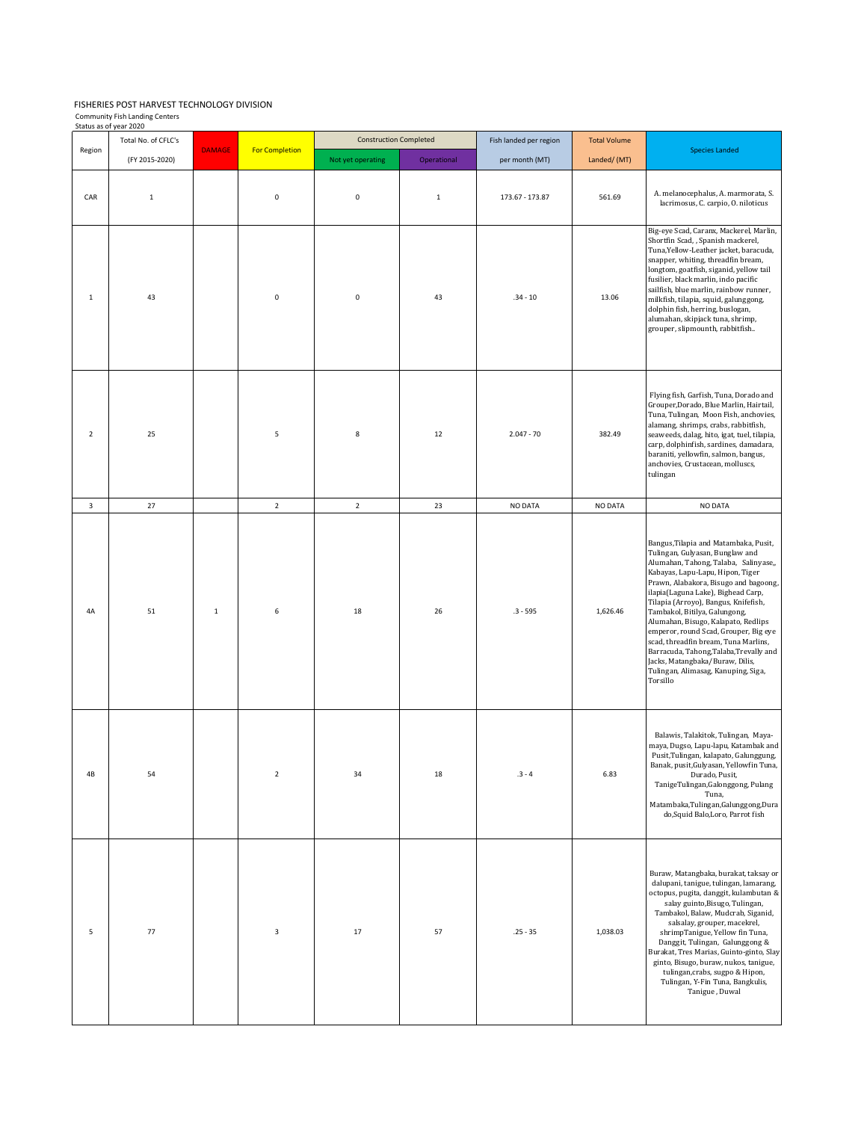## FISHERIES POST HARVEST TECHNOLOGY DIVISION nity Fish L

| Community Fish Landing Centers |  |
|--------------------------------|--|
| Status as of year 2020         |  |

|                | status as or year 2020<br>Total No. of CFLC's |               |                       | <b>Construction Completed</b> |             | Fish landed per region | <b>Total Volume</b> |                                                                                                                                                                                                                                                                                                                                                                                                                                                                                                                                                                        |
|----------------|-----------------------------------------------|---------------|-----------------------|-------------------------------|-------------|------------------------|---------------------|------------------------------------------------------------------------------------------------------------------------------------------------------------------------------------------------------------------------------------------------------------------------------------------------------------------------------------------------------------------------------------------------------------------------------------------------------------------------------------------------------------------------------------------------------------------------|
| Region         | (FY 2015-2020)                                | <b>DAMAGE</b> | <b>For Completion</b> | Not yet operating             | Operational | per month (MT)         | Landed/ (MT)        | <b>Species Landed</b>                                                                                                                                                                                                                                                                                                                                                                                                                                                                                                                                                  |
| CAR            | $\mathbf 1$                                   |               | $\pmb{0}$             | $\pmb{0}$                     | $\,$ 1      | 173.67 - 173.87        | 561.69              | A. melanocephalus, A. marmorata, S.<br>lacrimosus, C. carpio, O. niloticus                                                                                                                                                                                                                                                                                                                                                                                                                                                                                             |
| $\mathbf{1}$   | 43                                            |               | $\pmb{0}$             | 0                             | 43          | $.34 - 10$             | 13.06               | Big-eye Scad, Caranx, Mackerel, Marlin,<br>Shortfin Scad, , Spanish mackerel,<br>Tuna, Yellow-Leather jacket, baracuda,<br>snapper, whiting, threadfin bream,<br>longtom, goatfish, siganid, yellow tail<br>fusilier, black marlin, indo pacific<br>sailfish, blue marlin, rainbow runner,<br>milkfish, tilapia, squid, galunggong,<br>dolphin fish, herring, buslogan,<br>alumahan, skipjack tuna, shrimp,<br>grouper, slipmounth, rabbitfish                                                                                                                         |
| $\overline{2}$ | 25                                            |               | 5                     | 8                             | 12          | $2.047 - 70$           | 382.49              | Flying fish, Garfish, Tuna, Dorado and<br>Grouper, Dorado, Blue Marlin, Hairtail,<br>Tuna, Tulingan, Moon Fish, anchovies,<br>alamang, shrimps, crabs, rabbitfish,<br>seaweeds, dalag, hito, igat, tuel, tilapia,<br>carp, dolphinfish, sardines, damadara,<br>baraniti, yellowfin, salmon, bangus,<br>anchovies, Crustacean, molluscs,<br>tulingan                                                                                                                                                                                                                    |
| 3              | 27                                            |               | $\mathbf 2$           | $\overline{2}$                | 23          | NO DATA                | NO DATA             | NO DATA                                                                                                                                                                                                                                                                                                                                                                                                                                                                                                                                                                |
| 4A             | 51                                            | $\,1\,$       | 6                     | 18                            | 26          | $.3 - 595$             | 1,626.46            | Bangus, Tilapia and Matambaka, Pusit,<br>Tulingan, Gulyasan, Bunglaw and<br>Alumahan, Tahong, Talaba, Salinyase,,<br>Kabayas, Lapu-Lapu, Hipon, Tiger<br>Prawn, Alabakora, Bisugo and bagoong,<br>ilapia(Laguna Lake), Bighead Carp,<br>Tilapia (Arroyo), Bangus, Knifefish,<br>Tambakol, Bitilya, Galungong,<br>Alumahan, Bisugo, Kalapato, Redlips<br>emperor, round Scad, Grouper, Big eye<br>scad, threadfin bream, Tuna Marlins,<br>Barracuda, Tahong, Talaba, Trevally and<br>Jacks, Matangbaka/Buraw, Dilis,<br>Tulingan, Alimasag, Kanuping, Siga,<br>Torsillo |
| 4B             | 54                                            |               | $\mathbf 2$           | 34                            | 18          | $.3 - 4$               | 6.83                | Balawis, Talakitok, Tulingan, Maya-<br>maya, Dugso, Lapu-lapu, Katambak and<br>Pusit, Tulingan, kalapato, Galunggung,<br>Banak, pusit, Gulyasan, Yellowfin Tuna,<br>Durado, Pusit,<br>TanigeTulingan,Galonggong, Pulang<br>Tuna,<br>Matambaka,Tulingan,Galunggong,Dura<br>do, Squid Balo, Loro, Parrot fish                                                                                                                                                                                                                                                            |
| 5              | 77                                            |               | $\mathsf 3$           | 17                            | 57          | $.25 - 35$             | 1,038.03            | Buraw, Matangbaka, burakat, taksay or<br>dalupani, tanigue, tulingan, lamarang,<br>octopus, pugita, danggit, kulambutan &<br>salay guinto, Bisugo, Tulingan,<br>Tambakol, Balaw, Mudcrab, Siganid,<br>salsalay, grouper, macekrel,<br>shrimpTanigue, Yellow fin Tuna,<br>Danggit, Tulingan, Galunggong &<br>Burakat, Tres Marias, Guinto-ginto, Slay<br>ginto, Bisugo, buraw, nukos, tanigue,<br>tulingan, crabs, sugpo & Hipon,<br>Tulingan, Y-Fin Tuna, Bangkulis,<br>Tanigue, Duwal                                                                                 |